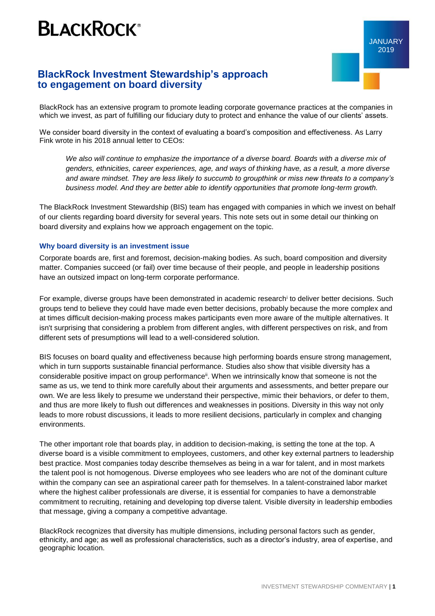## **BLACKROCK®**

## **BlackRock Investment Stewardship's approach to engagement on board diversity**

BlackRock has an extensive program to promote leading corporate governance practices at the companies in which we invest, as part of fulfilling our fiduciary duty to protect and enhance the value of our clients' assets.

We consider board diversity in the context of evaluating a board's composition and effectiveness. As Larry Fink wrote in his 2018 annual letter to CEOs:

*We also will continue to emphasize the importance of a diverse board. Boards with a diverse mix of genders, ethnicities, career experiences, age, and ways of thinking have, as a result, a more diverse and aware mindset. They are less likely to succumb to groupthink or miss new threats to a company's business model. And they are better able to identify opportunities that promote long-term growth.*

The BlackRock Investment Stewardship (BIS) team has engaged with companies in which we invest on behalf of our clients regarding board diversity for several years. This note sets out in some detail our thinking on board diversity and explains how we approach engagement on the topic.

## **Why board diversity is an investment issue**

Corporate boards are, first and foremost, decision-making bodies. As such, board composition and diversity matter. Companies succeed (or fail) over time because of their people, and people in leadership positions have an outsized impact on long-term corporate performance.

For example, diverse groups have been demonstrated in academic research<sup>i</sup> to deliver better decisions. Such groups tend to believe they could have made even better decisions, probably because the more complex and at times difficult decision-making process makes participants even more aware of the multiple alternatives. It isn't surprising that considering a problem from different angles, with different perspectives on risk, and from different sets of presumptions will lead to a well-considered solution.

BIS focuses on board quality and effectiveness because high performing boards ensure strong management, which in turn supports sustainable financial performance. Studies also show that visible diversity has a considerable positive impact on group performance<sup>ii</sup>. When we intrinsically know that someone is not the same as us, we tend to think more carefully about their arguments and assessments, and better prepare our own. We are less likely to presume we understand their perspective, mimic their behaviors, or defer to them, and thus are more likely to flush out differences and weaknesses in positions. Diversity in this way not only leads to more robust discussions, it leads to more resilient decisions, particularly in complex and changing environments.

The other important role that boards play, in addition to decision-making, is setting the tone at the top. A diverse board is a visible commitment to employees, customers, and other key external partners to leadership best practice. Most companies today describe themselves as being in a war for talent, and in most markets the talent pool is not homogenous. Diverse employees who see leaders who are not of the dominant culture within the company can see an aspirational career path for themselves. In a talent-constrained labor market where the highest caliber professionals are diverse, it is essential for companies to have a demonstrable commitment to recruiting, retaining and developing top diverse talent. Visible diversity in leadership embodies that message, giving a company a competitive advantage.

BlackRock recognizes that diversity has multiple dimensions, including personal factors such as gender, ethnicity, and age; as well as professional characteristics, such as a director's industry, area of expertise, and geographic location.

JANUARY 2019